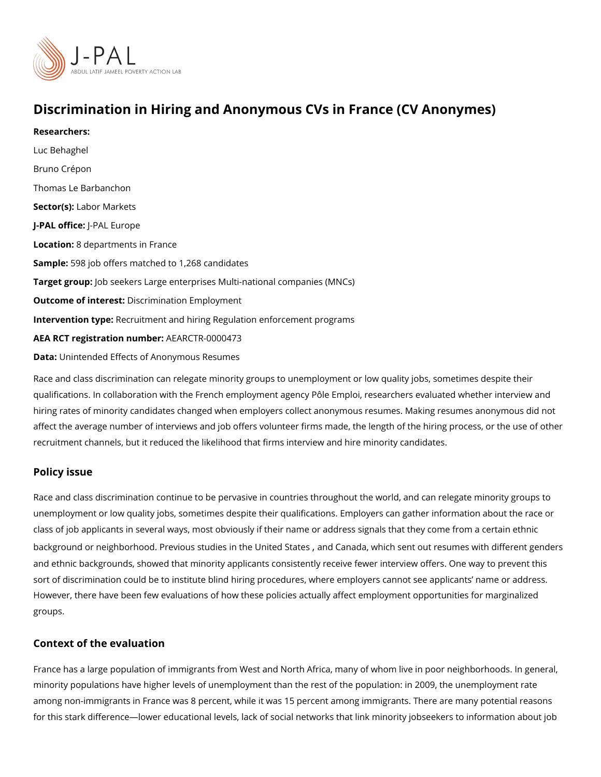# Discrimination in Hiring and Anonymous CVs in France (CV)

Researchers: [Luc Beha](https://www.povertyactionlab.org/person/behaghel)ghel [Bruno Cré](https://www.povertyactionlab.org/person/crepon)pon [Thomas Le Barb](https://www.povertyactionlab.org/person/lebarbanchon)anchon Sector(Lsabor Markets J-PAL oftli-cReAL Europe Locatio 8: departments in France Sample: 98 job offers matched to 1,268 candidates Target grow pb seekers Large enterprises Multi-national companies (MNCs) Outcome of inteDessatrimination Employment Intervention tRecruitment and hiring Regulation enforcement programs AEA RCT registration ArEuAnRbCeTR-0000473 Data[Unintended Effects of Anony](https://www.aeaweb.org/aej/app/data/0703/2014-0185_data.zip)mous Resumes

Race and class discrimination can relegate minority groups to unemployment or low qualit qualifications. In collaboration with the French employment agency Pôle Emploi, research hiring rates of minority candidates changed when employers collect anonymous resumes. I affect the average number of interviews and job offers volunteer firms made, the length o recruitment channels, but it reduced the likelihood that firms interview and hire minority

#### Policy issue

Race and class discrimination continue to be pervasive in countries throughout the world, unemployment or low quality jobs, sometimes despite their qualifications. Employers can class of job applicants in several ways, most obviously if their name or address signals t background or neighborhood. Previd unsitsetd oSitepat nide Calmed awhich sent out resume[s](https://www.povertyactionlab.org/evaluation/discrimination-against-skilled-immigrants-canadian-labor-market) with differe and ethnic backgrounds, showed that minority applicants consistently receive fewer interv sort of discrimination could be to institute blind hiring procedures, where employers cann However, there have been few evaluations of how these policies actually affect employme groups.

#### Context of the evaluation

France has a large population of immigrants from West and North Africa, many of whom li minority populations have higher levels of unemployment than the rest of the population: among non-immigrants in France was 8 percent, while it was 15 percent among immigrants for this stark difference lower educational levels, lack of social networks that link minori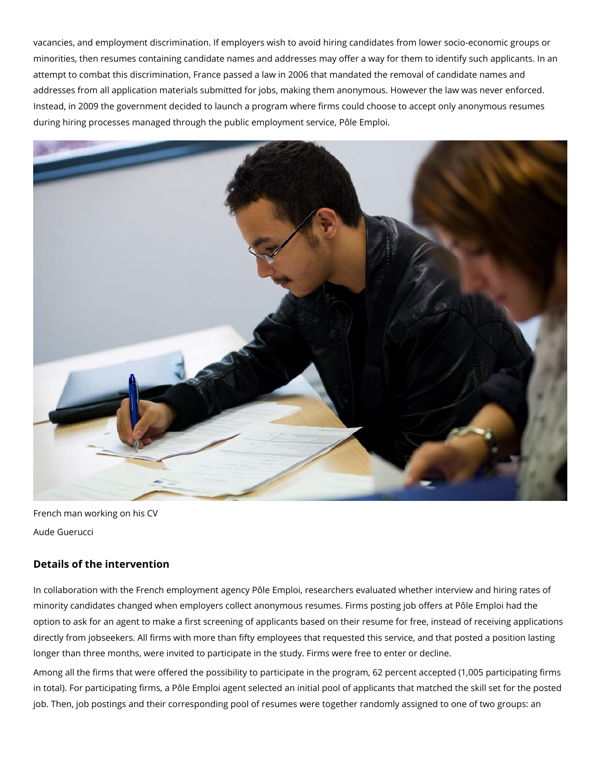vacancies, and employment discrimination. If employers wish to avoid hiring candidates from lower socio-economic groups or minorities, then resumes containing candidate names and addresses may offer a way for them to identify such applicants. In an attempt to combat this discrimination, France passed a law in 2006 that mandated the removal of candidate names and addresses from all application materials submitted for jobs, making them anonymous. However the law was never enforced. Instead, in 2009 the government decided to launch a program where firms could choose to accept only anonymous resumes during hiring processes managed through the public employment service, Pôle Emploi.



French man working on his CV Aude Guerucci

## **Details of the intervention**

In collaboration with the French employment agency Pôle Emploi, researchers evaluated whether interview and hiring rates of minority candidates changed when employers collect anonymous resumes. Firms posting job offers at Pôle Emploi had the option to ask for an agent to make a first screening of applicants based on their resume for free, instead of receiving applications directly from jobseekers. All firms with more than fifty employees that requested this service, and that posted a position lasting longer than three months, were invited to participate in the study. Firms were free to enter or decline.

Among all the firms that were offered the possibility to participate in the program, 62 percent accepted (1,005 participating firms in total). For participating firms, a Pôle Emploi agent selected an initial pool of applicants that matched the skill set for the posted job. Then, job postings and their corresponding pool of resumes were together randomly assigned to one of two groups: an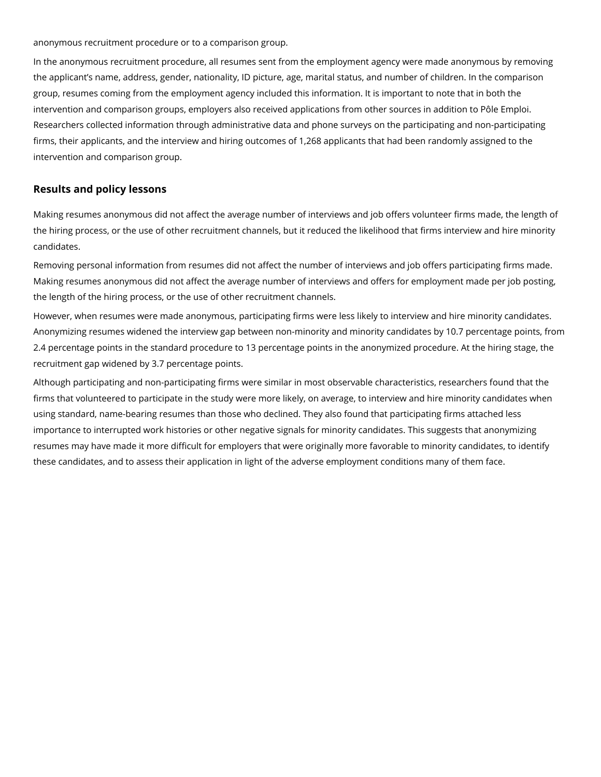anonymous recruitment procedure or to a comparison group.

In the anonymous recruitment procedure, all resumes sent from the employment agency were made anonymous by removing the applicant's name, address, gender, nationality, ID picture, age, marital status, and number of children. In the comparison group, resumes coming from the employment agency included this information. It is important to note that in both the intervention and comparison groups, employers also received applications from other sources in addition to Pôle Emploi. Researchers collected information through administrative data and phone surveys on the participating and non-participating firms, their applicants, and the interview and hiring outcomes of 1,268 applicants that had been randomly assigned to the intervention and comparison group.

### **Results and policy lessons**

Making resumes anonymous did not affect the average number of interviews and job offers volunteer firms made, the length of the hiring process, or the use of other recruitment channels, but it reduced the likelihood that firms interview and hire minority candidates.

Removing personal information from resumes did not affect the number of interviews and job offers participating firms made. Making resumes anonymous did not affect the average number of interviews and offers for employment made per job posting, the length of the hiring process, or the use of other recruitment channels.

However, when resumes were made anonymous, participating firms were less likely to interview and hire minority candidates. Anonymizing resumes widened the interview gap between non-minority and minority candidates by 10.7 percentage points, from 2.4 percentage points in the standard procedure to 13 percentage points in the anonymized procedure. At the hiring stage, the recruitment gap widened by 3.7 percentage points.

Although participating and non-participating firms were similar in most observable characteristics, researchers found that the firms that volunteered to participate in the study were more likely, on average, to interview and hire minority candidates when using standard, name-bearing resumes than those who declined. They also found that participating firms attached less importance to interrupted work histories or other negative signals for minority candidates. This suggests that anonymizing resumes may have made it more difficult for employers that were originally more favorable to minority candidates, to identify these candidates, and to assess their application in light of the adverse employment conditions many of them face.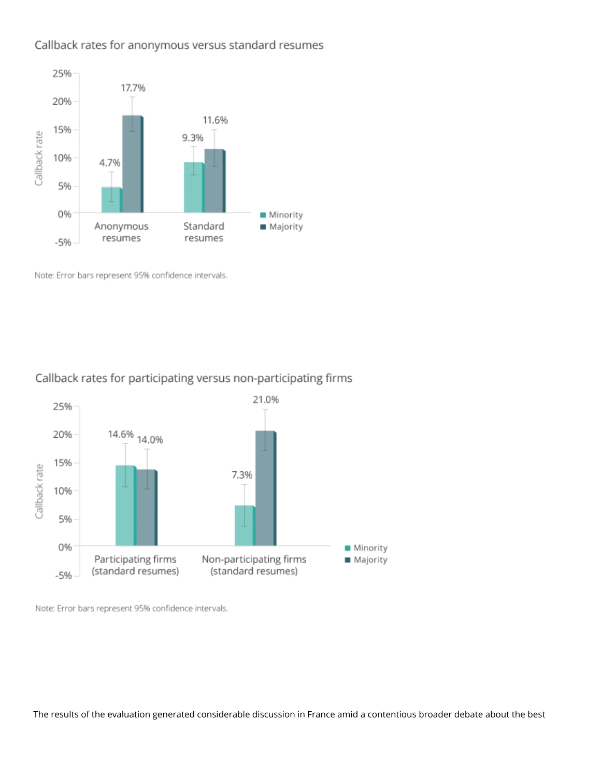## Callback rates for anonymous versus standard resumes



Note: Error bars represent 95% confidence intervals.

### Callback rates for participating versus non-participating firms



Note: Error bars represent 95% confidence intervals.

The results of the evaluation generated considerable discussion in France amid a contentious broader debate about the best